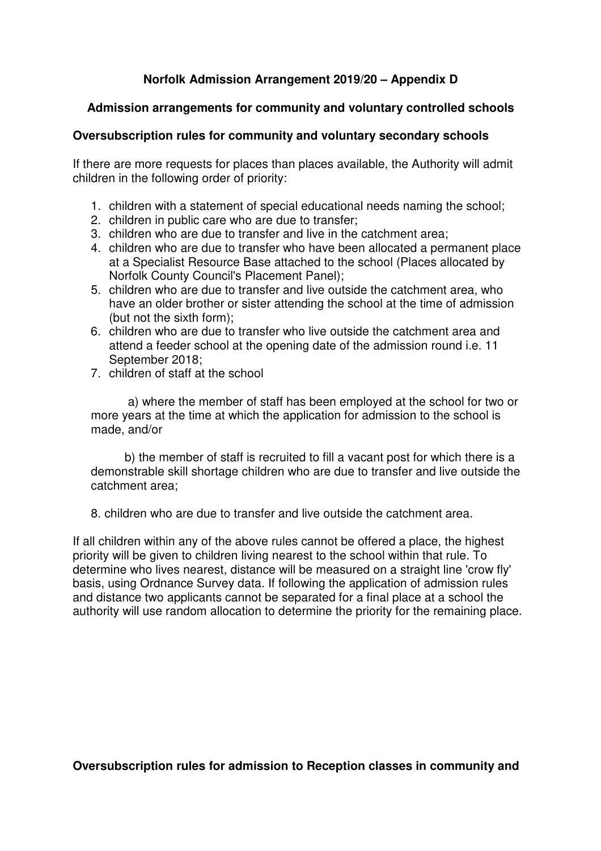# **Norfolk Admission Arrangement 2019/20 – Appendix D**

## **Admission arrangements for community and voluntary controlled schools**

## **Oversubscription rules for community and voluntary secondary schools**

If there are more requests for places than places available, the Authority will admit children in the following order of priority:

- 1. children with a statement of special educational needs naming the school;
- 2. children in public care who are due to transfer;
- 3. children who are due to transfer and live in the catchment area;
- 4. children who are due to transfer who have been allocated a permanent place at a Specialist Resource Base attached to the school (Places allocated by Norfolk County Council's Placement Panel);
- 5. children who are due to transfer and live outside the catchment area, who have an older brother or sister attending the school at the time of admission (but not the sixth form);
- 6. children who are due to transfer who live outside the catchment area and attend a feeder school at the opening date of the admission round i.e. 11 September 2018;
- 7. children of staff at the school

 a) where the member of staff has been employed at the school for two or more years at the time at which the application for admission to the school is made, and/or

 b) the member of staff is recruited to fill a vacant post for which there is a demonstrable skill shortage children who are due to transfer and live outside the catchment area;

8. children who are due to transfer and live outside the catchment area.

If all children within any of the above rules cannot be offered a place, the highest priority will be given to children living nearest to the school within that rule. To determine who lives nearest, distance will be measured on a straight line 'crow fly' basis, using Ordnance Survey data. If following the application of admission rules and distance two applicants cannot be separated for a final place at a school the authority will use random allocation to determine the priority for the remaining place.

**Oversubscription rules for admission to Reception classes in community and**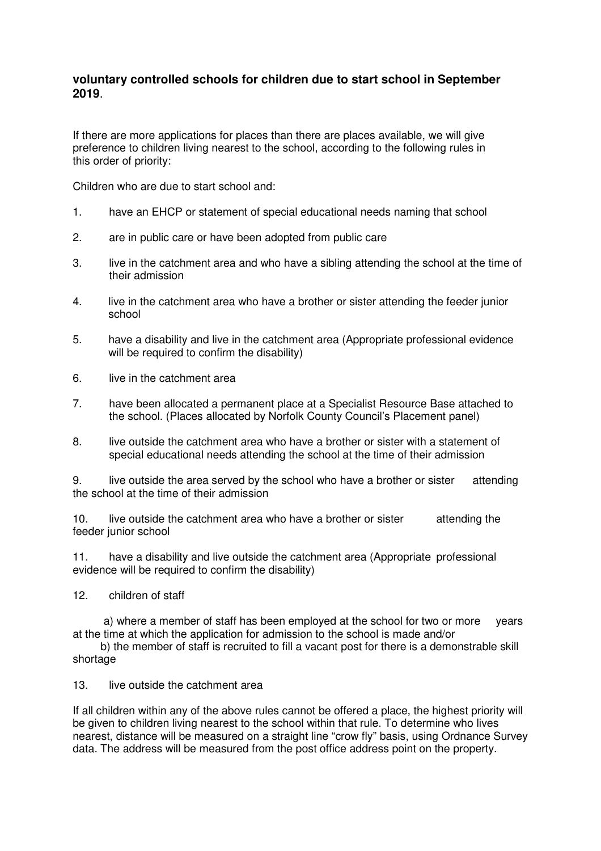### **voluntary controlled schools for children due to start school in September 2019**.

If there are more applications for places than there are places available, we will give preference to children living nearest to the school, according to the following rules in this order of priority:

Children who are due to start school and:

- 1. have an EHCP or statement of special educational needs naming that school
- 2. are in public care or have been adopted from public care
- 3. live in the catchment area and who have a sibling attending the school at the time of their admission
- 4. live in the catchment area who have a brother or sister attending the feeder junior school
- 5. have a disability and live in the catchment area (Appropriate professional evidence will be required to confirm the disability)
- 6. live in the catchment area
- 7. have been allocated a permanent place at a Specialist Resource Base attached to the school. (Places allocated by Norfolk County Council's Placement panel)
- 8. live outside the catchment area who have a brother or sister with a statement of special educational needs attending the school at the time of their admission

9. live outside the area served by the school who have a brother or sister attending the school at the time of their admission

10. live outside the catchment area who have a brother or sister attending the feeder junior school

11. have a disability and live outside the catchment area (Appropriate professional evidence will be required to confirm the disability)

12. children of staff

 a) where a member of staff has been employed at the school for two or more years at the time at which the application for admission to the school is made and/or

 b) the member of staff is recruited to fill a vacant post for there is a demonstrable skill shortage

13. live outside the catchment area

If all children within any of the above rules cannot be offered a place, the highest priority will be given to children living nearest to the school within that rule. To determine who lives nearest, distance will be measured on a straight line "crow fly" basis, using Ordnance Survey data. The address will be measured from the post office address point on the property.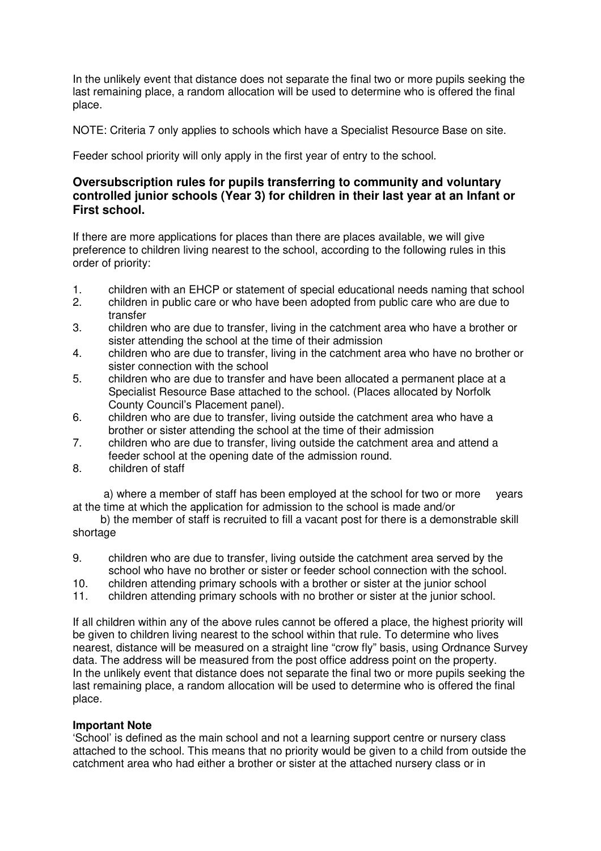In the unlikely event that distance does not separate the final two or more pupils seeking the last remaining place, a random allocation will be used to determine who is offered the final place.

NOTE: Criteria 7 only applies to schools which have a Specialist Resource Base on site.

Feeder school priority will only apply in the first year of entry to the school.

### **Oversubscription rules for pupils transferring to community and voluntary controlled junior schools (Year 3) for children in their last year at an Infant or First school.**

If there are more applications for places than there are places available, we will give preference to children living nearest to the school, according to the following rules in this order of priority:

- 1. children with an EHCP or statement of special educational needs naming that school
- 2. children in public care or who have been adopted from public care who are due to transfer
- 3. children who are due to transfer, living in the catchment area who have a brother or sister attending the school at the time of their admission
- 4. children who are due to transfer, living in the catchment area who have no brother or sister connection with the school
- 5. children who are due to transfer and have been allocated a permanent place at a Specialist Resource Base attached to the school. (Places allocated by Norfolk County Council's Placement panel).
- 6. children who are due to transfer, living outside the catchment area who have a brother or sister attending the school at the time of their admission
- 7. children who are due to transfer, living outside the catchment area and attend a feeder school at the opening date of the admission round.
- 8. children of staff

 a) where a member of staff has been employed at the school for two or more years at the time at which the application for admission to the school is made and/or

 b) the member of staff is recruited to fill a vacant post for there is a demonstrable skill shortage

- 9. children who are due to transfer, living outside the catchment area served by the school who have no brother or sister or feeder school connection with the school.
- 10. children attending primary schools with a brother or sister at the junior school
- 11. children attending primary schools with no brother or sister at the junior school.

If all children within any of the above rules cannot be offered a place, the highest priority will be given to children living nearest to the school within that rule. To determine who lives nearest, distance will be measured on a straight line "crow fly" basis, using Ordnance Survey data. The address will be measured from the post office address point on the property. In the unlikely event that distance does not separate the final two or more pupils seeking the last remaining place, a random allocation will be used to determine who is offered the final place.

#### **Important Note**

'School' is defined as the main school and not a learning support centre or nursery class attached to the school. This means that no priority would be given to a child from outside the catchment area who had either a brother or sister at the attached nursery class or in